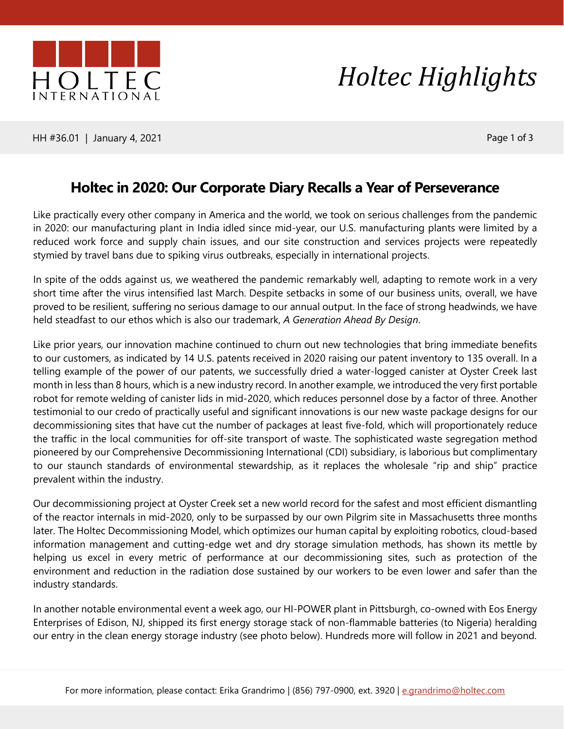

*Holtec Highlights*

HH #36.01 | January 4, 2021 | Page 1 of 3

## **Holtec in 2020: Our Corporate Diary Recalls a Year of Perseverance**

Like practically every other company in America and the world, we took on serious challenges from the pandemic in 2020: our manufacturing plant in India idled since mid-year, our U.S. manufacturing plants were limited by a reduced work force and supply chain issues, and our site construction and services projects were repeatedly stymied by travel bans due to spiking virus outbreaks, especially in international projects.

In spite of the odds against us, we weathered the pandemic remarkably well, adapting to remote work in a very short time after the virus intensified last March. Despite setbacks in some of our business units, overall, we have proved to be resilient, suffering no serious damage to our annual output. In the face of strong headwinds, we have held steadfast to our ethos which is also our trademark, *A Generation Ahead By Design*.

Like prior years, our innovation machine continued to churn out new technologies that bring immediate benefits to our customers, as indicated by 14 U.S. patents received in 2020 raising our patent inventory to 135 overall. In a telling example of the power of our patents, we successfully dried a water-logged canister at Oyster Creek last month in less than 8 hours, which is a new industry record. In another example, we introduced the very first portable robot for remote welding of canister lids in mid-2020, which reduces personnel dose by a factor of three. Another testimonial to our credo of practically useful and significant innovations is our new waste package designs for our decommissioning sites that have cut the number of packages at least five-fold, which will proportionately reduce the traffic in the local communities for off-site transport of waste. The sophisticated waste segregation method pioneered by our Comprehensive Decommissioning International (CDI) subsidiary, is laborious but complimentary to our staunch standards of environmental stewardship, as it replaces the wholesale "rip and ship" practice prevalent within the industry.

Our decommissioning project at Oyster Creek set a new world record for the safest and most efficient dismantling of the reactor internals in mid-2020, only to be surpassed by our own Pilgrim site in Massachusetts three months later. The Holtec Decommissioning Model, which optimizes our human capital by exploiting robotics, cloud-based information management and cutting-edge wet and dry storage simulation methods, has shown its mettle by helping us excel in every metric of performance at our decommissioning sites, such as protection of the environment and reduction in the radiation dose sustained by our workers to be even lower and safer than the industry standards.

In another notable environmental event a week ago, our HI-POWER plant in Pittsburgh, co-owned with Eos Energy Enterprises of Edison, NJ, shipped its first energy storage stack of non-flammable batteries (to Nigeria) heralding our entry in the clean energy storage industry (see photo below). Hundreds more will follow in 2021 and beyond.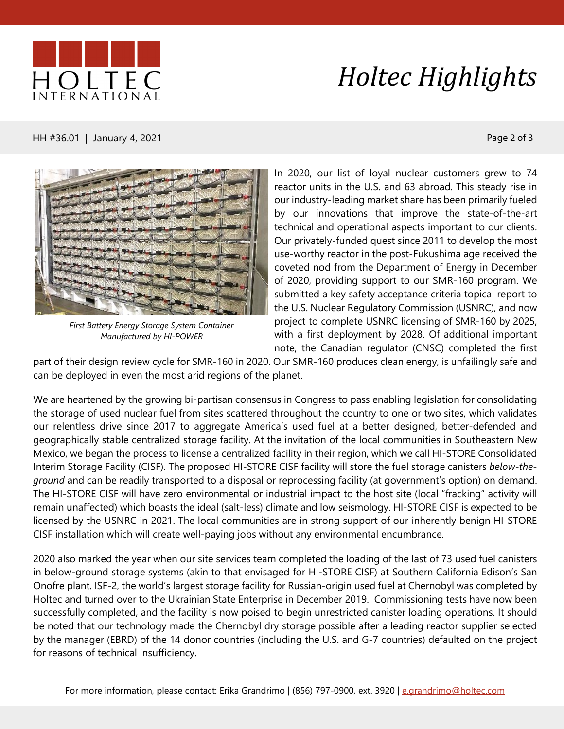

## *Holtec Highlights*

HH #36.01 | January 4, 2021 **Page 2 of 3** 



*First Battery Energy Storage System Container Manufactured by HI-POWER*

In 2020, our list of loyal nuclear customers grew to 74 reactor units in the U.S. and 63 abroad. This steady rise in our industry-leading market share has been primarily fueled by our innovations that improve the state-of-the-art technical and operational aspects important to our clients. Our privately-funded quest since 2011 to develop the most use-worthy reactor in the post-Fukushima age received the coveted nod from the Department of Energy in December of 2020, providing support to our SMR-160 program. We submitted a key safety acceptance criteria topical report to the U.S. Nuclear Regulatory Commission (USNRC), and now project to complete USNRC licensing of SMR-160 by 2025, with a first deployment by 2028. Of additional important note, the Canadian regulator (CNSC) completed the first

part of their design review cycle for SMR-160 in 2020. Our SMR-160 produces clean energy, is unfailingly safe and can be deployed in even the most arid regions of the planet.

We are heartened by the growing bi-partisan consensus in Congress to pass enabling legislation for consolidating the storage of used nuclear fuel from sites scattered throughout the country to one or two sites, which validates our relentless drive since 2017 to aggregate America's used fuel at a better designed, better-defended and geographically stable centralized storage facility. At the invitation of the local communities in Southeastern New Mexico, we began the process to license a centralized facility in their region, which we call HI-STORE Consolidated Interim Storage Facility (CISF). The proposed HI-STORE CISF facility will store the fuel storage canisters *below-theground* and can be readily transported to a disposal or reprocessing facility (at government's option) on demand. The HI-STORE CISF will have zero environmental or industrial impact to the host site (local "fracking" activity will remain unaffected) which boasts the ideal (salt-less) climate and low seismology. HI-STORE CISF is expected to be licensed by the USNRC in 2021. The local communities are in strong support of our inherently benign HI-STORE CISF installation which will create well-paying jobs without any environmental encumbrance.

2020 also marked the year when our site services team completed the loading of the last of 73 used fuel canisters in below-ground storage systems (akin to that envisaged for HI-STORE CISF) at Southern California Edison's San Onofre plant. ISF-2, the world's largest storage facility for Russian-origin used fuel at Chernobyl was completed by Holtec and turned over to the Ukrainian State Enterprise in December 2019. Commissioning tests have now been successfully completed, and the facility is now poised to begin unrestricted canister loading operations. It should be noted that our technology made the Chernobyl dry storage possible after a leading reactor supplier selected by the manager (EBRD) of the 14 donor countries (including the U.S. and G-7 countries) defaulted on the project for reasons of technical insufficiency.